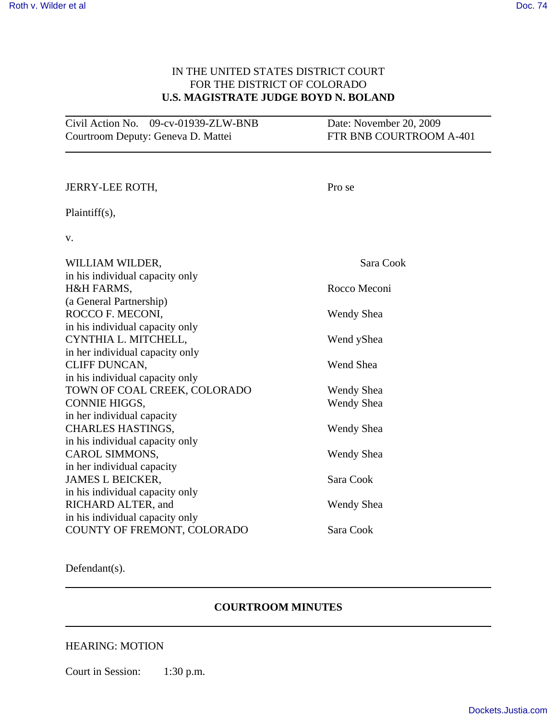## IN THE UNITED STATES DISTRICT COURT FOR THE DISTRICT OF COLORADO **U.S. MAGISTRATE JUDGE BOYD N. BOLAND**

| Civil Action No. 09-cv-01939-ZLW-BNB | Date: November 20, 2009 |
|--------------------------------------|-------------------------|
| Courtroom Deputy: Geneva D. Mattei   | FTR BNB COURTROOM A-401 |

| <b>JERRY-LEE ROTH,</b>          | Pro se            |
|---------------------------------|-------------------|
| Plaintiff(s),                   |                   |
| V.                              |                   |
| WILLIAM WILDER,                 | Sara Cook         |
| in his individual capacity only |                   |
| H&H FARMS,                      | Rocco Meconi      |
| (a General Partnership)         |                   |
| ROCCO F. MECONI,                | <b>Wendy Shea</b> |
| in his individual capacity only |                   |
| CYNTHIA L. MITCHELL,            | Wend yShea        |
| in her individual capacity only |                   |
| CLIFF DUNCAN,                   | Wend Shea         |
| in his individual capacity only |                   |
| TOWN OF COAL CREEK, COLORADO    | Wendy Shea        |
| <b>CONNIE HIGGS,</b>            | Wendy Shea        |
| in her individual capacity      |                   |
| <b>CHARLES HASTINGS,</b>        | <b>Wendy Shea</b> |
| in his individual capacity only |                   |
| CAROL SIMMONS,                  | Wendy Shea        |
| in her individual capacity      |                   |
| <b>JAMES L BEICKER,</b>         | Sara Cook         |
| in his individual capacity only |                   |
| RICHARD ALTER, and              | Wendy Shea        |
| in his individual capacity only |                   |
| COUNTY OF FREMONT, COLORADO     | Sara Cook         |
|                                 |                   |

Defendant(s).

## **COURTROOM MINUTES**

## HEARING: MOTION

Court in Session: 1:30 p.m.